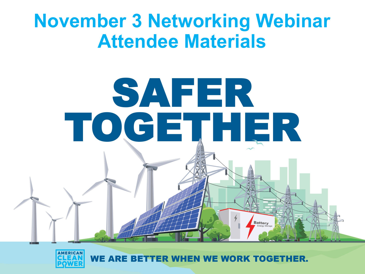# **November 3 Networking Webinar Attendee Materials**





WE ARE BETTER WHEN WE WORK TOGETHER.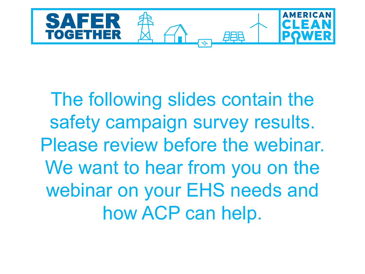

The following slides contain the safety campaign survey results. Please review before the webinar. We want to hear from you on the webinar on your EHS needs and how ACP can help.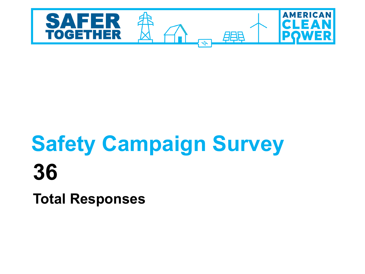

# **Safety Campaign Survey 36**

**Total Responses**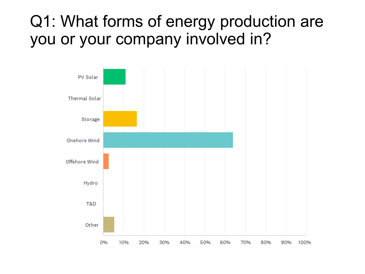### Q1: What forms of energy production are you or your company involved in?

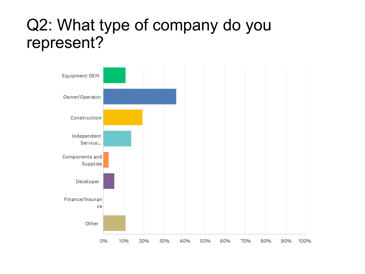### Q2: What type of company do you represent?

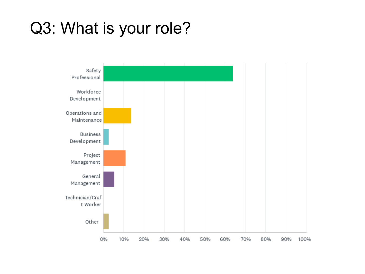### Q3: What is your role?

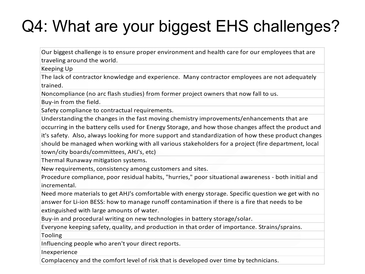# Q4: What are your biggest EHS challenges?

Our biggest challenge is to ensure proper environment and health care for our employees that are traveling around the world.

Keeping Up

The lack of contractor knowledge and experience. Many contractor employees are not adequately trained.

Noncompliance (no arc flash studies) from former project owners that now fall to us.

Buy-in from the field.

Safety compliance to contractual requirements.

Understanding the changes in the fast moving chemistry improvements/enhancements that are occurring in the battery cells used for Energy Storage, and how those changes affect the product and it's safety. Also, always looking for more support and standardization of how these product changes should be managed when working with all various stakeholders for a project (fire department, local town/city boards/committees, AHJ's, etc)

Thermal Runaway mitigation systems.

New requirements, consistency among customers and sites.

Procedure compliance, poor residual habits, "hurries," poor situational awareness - both initial and incremental.

Need more materials to get AHJ's comfortable with energy storage. Specific question we get with no answer for Li-ion BESS: how to manage runoff contamination if there is a fire that needs to be extinguished with large amounts of water.

Buy-in and procedural writing on new technologies in battery storage/solar.

Everyone keeping safety, quality, and production in that order of importance. Strains/sprains.

Tooling

Influencing people who aren't your direct reports.

Inexperience

Complacency and the comfort level of risk that is developed over time by technicians.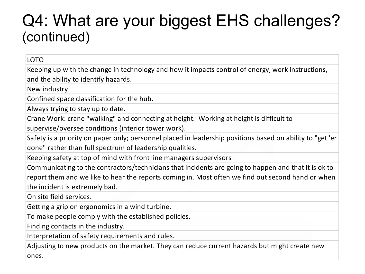### Q4: What are your biggest EHS challenges? (continued)

#### LOTO

Keeping up with the change in technology and how it impacts control of energy, work instructions, and the ability to identify hazards.

New industry

Confined space classification for the hub.

Always trying to stay up to date.

Crane Work: crane "walking" and connecting at height. Working at height is difficult to

supervise/oversee conditions (interior tower work).

Safety is a priority on paper only; personnel placed in leadership positions based on ability to "get 'er done" rather than full spectrum of leadership qualities.

Keeping safety at top of mind with front line managers supervisors

Communicating to the contractors/technicians that incidents are going to happen and that it is ok to report them and we like to hear the reports coming in. Most often we find out second hand or when the incident is extremely bad.

On site field services.

Getting a grip on ergonomics in a wind turbine.

To make people comply with the established policies.

Finding contacts in the industry.

Interpretation of safety requirements and rules.

Adjusting to new products on the market. They can reduce current hazards but might create new ones.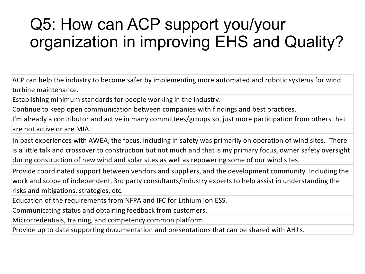## Q5: How can ACP support you/your organization in improving EHS and Quality?

ACP can help the industry to become safer by implementing more automated and robotic systems for wind turbine maintenance.

Establishing minimum standards for people working in the industry.

Continue to keep open communication between companies with findings and best practices.

I'm already a contributor and active in many committees/groups so, just more participation from others that are not active or are MIA.

In past experiences with AWEA, the focus, including in safety was primarily on operation of wind sites. There is a little talk and crossover to construction but not much and that is my primary focus, owner safety oversight during construction of new wind and solar sites as well as repowering some of our wind sites.

Provide coordinated support between vendors and suppliers, and the development community. Including the work and scope of independent, 3rd party consultants/industry experts to help assist in understanding the risks and mitigations, strategies, etc.

Education of the requirements from NFPA and IFC for Lithium Ion ESS.

Communicating status and obtaining feedback from customers.

Microcredentials, training, and competency common platform.

Provide up to date supporting documentation and presentations that can be shared with AHJ's.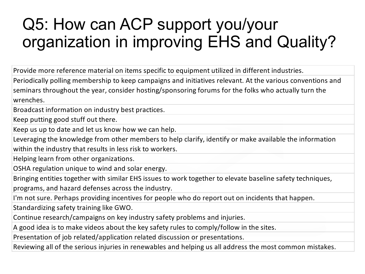## Q5: How can ACP support you/your organization in improving EHS and Quality?

Provide more reference material on items specific to equipment utilized in different industries.

Periodically polling membership to keep campaigns and initiatives relevant. At the various conventions and seminars throughout the year, consider hosting/sponsoring forums for the folks who actually turn the wrenches.

Broadcast information on industry best practices.

Keep putting good stuff out there.

Keep us up to date and let us know how we can help.

Leveraging the knowledge from other members to help clarify, identify or make available the information within the industry that results in less risk to workers.

Helping learn from other organizations.

OSHA regulation unique to wind and solar energy.

Bringing entities together with similar EHS issues to work together to elevate baseline safety techniques,

programs, and hazard defenses across the industry.

I'm not sure. Perhaps providing incentives for people who do report out on incidents that happen.

Standardizing safety training like GWO.

Continue research/campaigns on key industry safety problems and injuries.

A good idea is to make videos about the key safety rules to comply/follow in the sites.

Presentation of job related/application related discussion or presentations.

Reviewing all of the serious injuries in renewables and helping us all address the most common mistakes.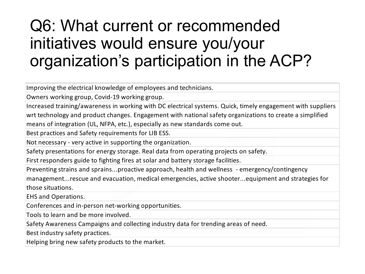## Q6: What current or recommended initiatives would ensure you/your organization's participation in the ACP?

Improving the electrical knowledge of employees and technicians.

Owners working group, Covid-19 working group.

Increased training/awareness in working with DC electrical systems. Quick, timely engagement with suppliers

wrt technology and product changes. Engagement with national safety organizations to create a simplified means of integration (UL, NFPA, etc.), especially as new standards come out.

Best practices and Safety requirements for LIB ESS.

Not necessary - very active in supporting the organization.

Safety presentations for energy storage. Real data from operating projects on safety.

First responders guide to fighting fires at solar and battery storage facilities.

Preventing strains and sprains...proactive approach, health and wellness - emergency/contingency

management...rescue and evacuation, medical emergencies, active shooter...equipment and strategies for those situations.

EHS and Operations.

Conferences and in-person net-working opportunities.

Tools to learn and be more involved.

Safety Awareness Campaigns and collecting industry data for trending areas of need.

Best industry safety practices.

Helping bring new safety products to the market.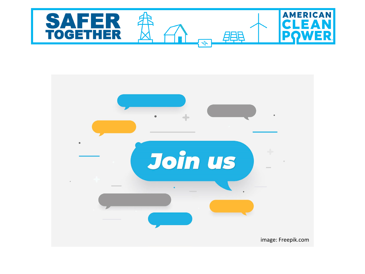

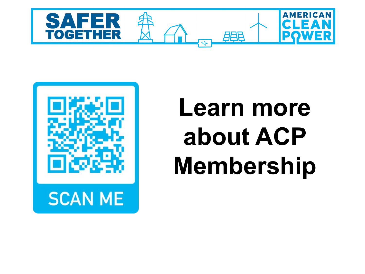



# **Learn more about ACP Membership**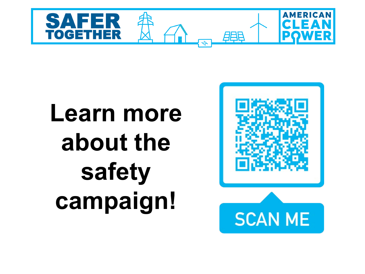

# **Learn more about the safety campaign!**